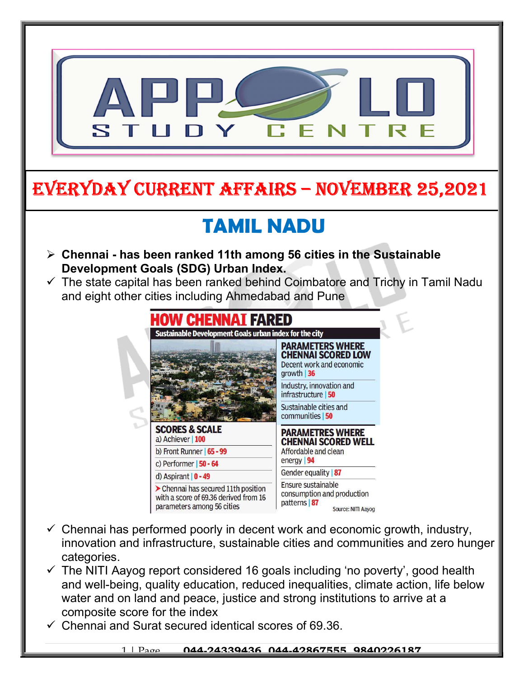

# EVERYDAY CURRENT AFFAIRS – NOVEMBER 25,2021

# TAMIL NADU

 $\triangleright$  Chennai - has been ranked 11th among 56 cities in the Sustainable Development Goals (SDG) Urban Index.

-

 $\checkmark$  The state capital has been ranked behind Coimbatore and Trichy in Tamil Nadu and eight other cities including Ahmedabad and Pune



- $\checkmark$  Chennai has performed poorly in decent work and economic growth, industry, innovation and infrastructure, sustainable cities and communities and zero hunger categories.
- $\checkmark$  The NITI Aayog report considered 16 goals including 'no poverty', good health and well-being, quality education, reduced inequalities, climate action, life below water and on land and peace, justice and strong institutions to arrive at a composite score for the index
- $\checkmark$  Chennai and Surat secured identical scores of 69.36.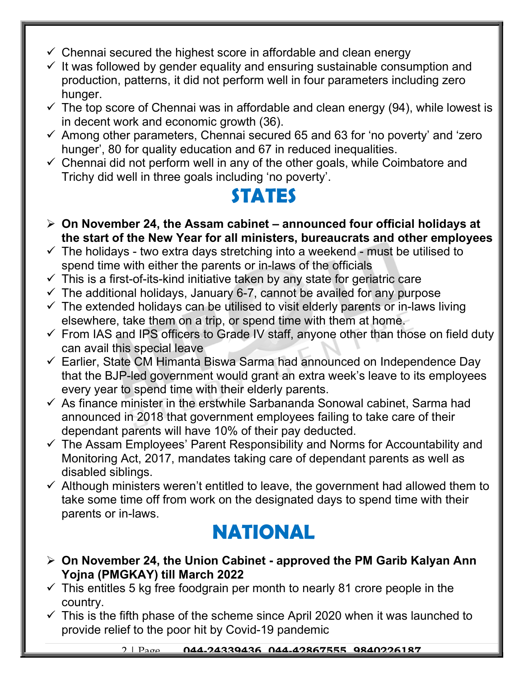- $\checkmark$  Chennai secured the highest score in affordable and clean energy
- $\checkmark$  It was followed by gender equality and ensuring sustainable consumption and production, patterns, it did not perform well in four parameters including zero hunger.
- $\checkmark$  The top score of Chennai was in affordable and clean energy (94), while lowest is in decent work and economic growth (36).
- $\checkmark$  Among other parameters, Chennai secured 65 and 63 for 'no poverty' and 'zero hunger', 80 for quality education and 67 in reduced inequalities.
- $\checkmark$  Chennai did not perform well in any of the other goals, while Coimbatore and Trichy did well in three goals including 'no poverty'.

### STATES

- $\triangleright$  On November 24, the Assam cabinet announced four official holidays at the start of the New Year for all ministers, bureaucrats and other employees
- $\checkmark$  The holidays two extra days stretching into a weekend must be utilised to spend time with either the parents or in-laws of the officials
- $\checkmark$  This is a first-of-its-kind initiative taken by any state for geriatric care
- $\checkmark$  The additional holidays, January 6-7, cannot be availed for any purpose
- $\checkmark$  The extended holidays can be utilised to visit elderly parents or in-laws living elsewhere, take them on a trip, or spend time with them at home.
- $\checkmark$  From IAS and IPS officers to Grade IV staff, anyone other than those on field duty can avail this special leave
- $\checkmark$  Earlier, State CM Himanta Biswa Sarma had announced on Independence Day that the BJP-led government would grant an extra week's leave to its employees every year to spend time with their elderly parents.
- $\checkmark$  As finance minister in the erstwhile Sarbananda Sonowal cabinet, Sarma had announced in 2018 that government employees failing to take care of their dependant parents will have 10% of their pay deducted.
- $\checkmark$  The Assam Employees' Parent Responsibility and Norms for Accountability and Monitoring Act, 2017, mandates taking care of dependant parents as well as disabled siblings.
- $\checkmark$  Although ministers weren't entitled to leave, the government had allowed them to take some time off from work on the designated days to spend time with their parents or in-laws.

### NATIONAL

- $\triangleright$  On November 24, the Union Cabinet approved the PM Garib Kalyan Ann Yojna (PMGKAY) till March 2022
- $\checkmark$  This entitles 5 kg free foodgrain per month to nearly 81 crore people in the country.
- $\checkmark$  This is the fifth phase of the scheme since April 2020 when it was launched to provide relief to the poor hit by Covid-19 pandemic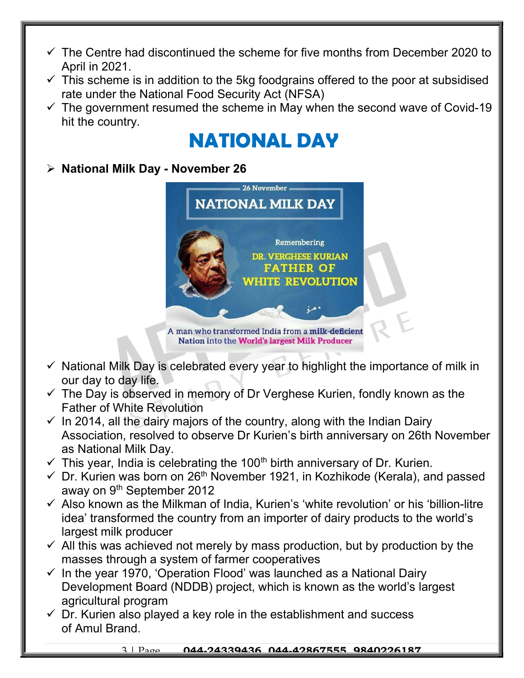- $\checkmark$  The Centre had discontinued the scheme for five months from December 2020 to April in 2021.
- $\checkmark$  This scheme is in addition to the 5kg foodgrains offered to the poor at subsidised rate under the National Food Security Act (NFSA)
- $\checkmark$  The government resumed the scheme in May when the second wave of Covid-19 hit the country.

## NATIONAL DAY

#### $\triangleright$  National Milk Day - November 26



Nation into the World's largest Milk Producer

- $\checkmark$  National Milk Day is celebrated every year to highlight the importance of milk in our day to day life.
- $\checkmark$  The Day is observed in memory of Dr Verghese Kurien, fondly known as the Father of White Revolution
- $\checkmark$  In 2014, all the dairy majors of the country, along with the Indian Dairy Association, resolved to observe Dr Kurien's birth anniversary on 26th November as National Milk Day.
- $\checkmark$  This year, India is celebrating the 100<sup>th</sup> birth anniversary of Dr. Kurien.
- $\checkmark$  Dr. Kurien was born on 26<sup>th</sup> November 1921, in Kozhikode (Kerala), and passed away on 9<sup>th</sup> September 2012
- $\checkmark$  Also known as the Milkman of India, Kurien's 'white revolution' or his 'billion-litre idea' transformed the country from an importer of dairy products to the world's largest milk producer
- $\checkmark$  All this was achieved not merely by mass production, but by production by the masses through a system of farmer cooperatives
- $\checkmark$  In the year 1970, 'Operation Flood' was launched as a National Dairy Development Board (NDDB) project, which is known as the world's largest agricultural program
- $\checkmark$  Dr. Kurien also played a key role in the establishment and success of Amul Brand.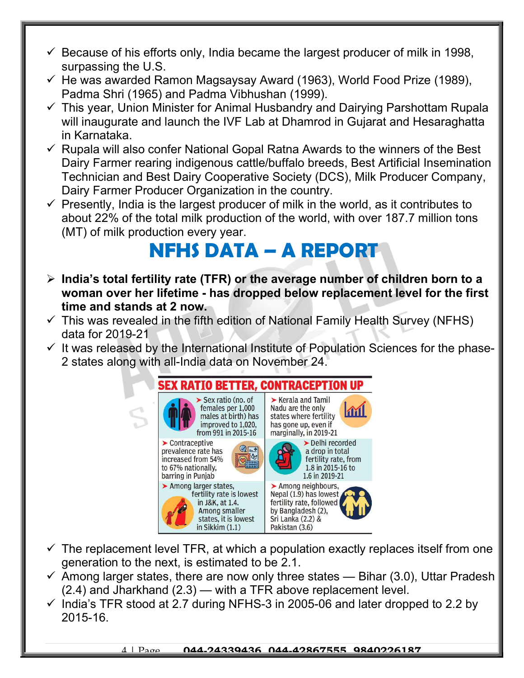- $\checkmark$  Because of his efforts only, India became the largest producer of milk in 1998, surpassing the U.S.
- $\checkmark$  He was awarded Ramon Magsaysay Award (1963), World Food Prize (1989), Padma Shri (1965) and Padma Vibhushan (1999).
- $\checkmark$  This year, Union Minister for Animal Husbandry and Dairying Parshottam Rupala will inaugurate and launch the IVF Lab at Dhamrod in Gujarat and Hesaraghatta in Karnataka.
- $\checkmark$  Rupala will also confer National Gopal Ratna Awards to the winners of the Best Dairy Farmer rearing indigenous cattle/buffalo breeds, Best Artificial Insemination Technician and Best Dairy Cooperative Society (DCS), Milk Producer Company, Dairy Farmer Producer Organization in the country.
- $\checkmark$  Presently, India is the largest producer of milk in the world, as it contributes to about 22% of the total milk production of the world, with over 187.7 million tons (MT) of milk production every year.

### NFHS DATA – A REPORT

- $\triangleright$  India's total fertility rate (TFR) or the average number of children born to a woman over her lifetime - has dropped below replacement level for the first time and stands at 2 now.
- $\checkmark$  This was revealed in the fifth edition of National Family Health Survey (NFHS) data for 2019-21
- $\checkmark$  It was released by the International Institute of Population Sciences for the phase-2 states along with all-India data on November 24.



- $\checkmark$  The replacement level TFR, at which a population exactly replaces itself from one generation to the next, is estimated to be 2.1.
- $\checkmark$  Among larger states, there are now only three states Bihar (3.0), Uttar Pradesh (2.4) and Jharkhand (2.3) — with a TFR above replacement level.
- $\checkmark$  India's TFR stood at 2.7 during NFHS-3 in 2005-06 and later dropped to 2.2 by 2015-16.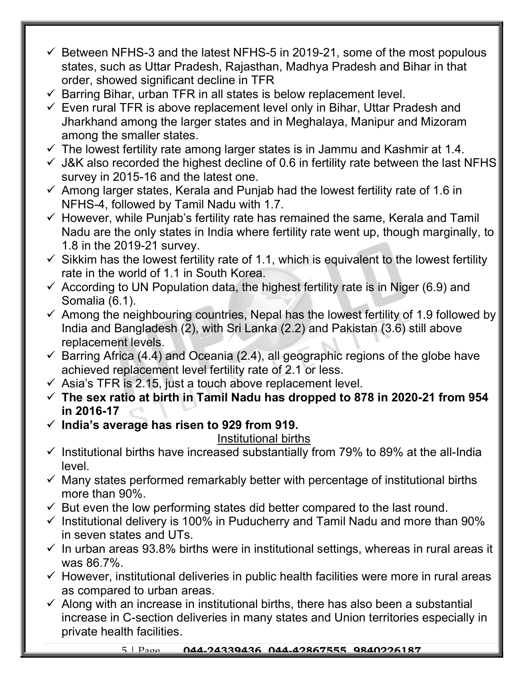- $\checkmark$  Between NFHS-3 and the latest NFHS-5 in 2019-21, some of the most populous states, such as Uttar Pradesh, Rajasthan, Madhya Pradesh and Bihar in that order, showed significant decline in TFR
- $\checkmark$  Barring Bihar, urban TFR in all states is below replacement level.
- $\checkmark$  Even rural TFR is above replacement level only in Bihar, Uttar Pradesh and Jharkhand among the larger states and in Meghalaya, Manipur and Mizoram among the smaller states.
- $\checkmark$  The lowest fertility rate among larger states is in Jammu and Kashmir at 1.4.
- $\checkmark$  J&K also recorded the highest decline of 0.6 in fertility rate between the last NFHS survey in 2015-16 and the latest one.
- $\checkmark$  Among larger states, Kerala and Punjab had the lowest fertility rate of 1.6 in NFHS-4, followed by Tamil Nadu with 1.7.
- $\checkmark$  However, while Punjab's fertility rate has remained the same, Kerala and Tamil Nadu are the only states in India where fertility rate went up, though marginally, to 1.8 in the 2019-21 survey.
- $\checkmark$  Sikkim has the lowest fertility rate of 1.1, which is equivalent to the lowest fertility rate in the world of 1.1 in South Korea.
- $\checkmark$  According to UN Population data, the highest fertility rate is in Niger (6.9) and Somalia (6.1).
- $\checkmark$  Among the neighbouring countries, Nepal has the lowest fertility of 1.9 followed by India and Bangladesh (2), with Sri Lanka (2.2) and Pakistan (3.6) still above replacement levels.
- $\checkmark$  Barring Africa (4.4) and Oceania (2.4), all geographic regions of the globe have achieved replacement level fertility rate of 2.1 or less.
- $\checkmark$  Asia's TFR is 2.15, just a touch above replacement level.
- $\checkmark$  The sex ratio at birth in Tamil Nadu has dropped to 878 in 2020-21 from 954 in 2016-17
- $\checkmark$  India's average has risen to 929 from 919.

#### Institutional births

- $\checkmark$  Institutional births have increased substantially from 79% to 89% at the all-India level.
- $\checkmark$  Many states performed remarkably better with percentage of institutional births more than 90%.
- $\checkmark$  But even the low performing states did better compared to the last round.
- $\checkmark$  Institutional delivery is 100% in Puducherry and Tamil Nadu and more than 90% in seven states and UTs.
- $\checkmark$  In urban areas 93.8% births were in institutional settings, whereas in rural areas it was 86.7%.
- $\checkmark$  However, institutional deliveries in public health facilities were more in rural areas as compared to urban areas.
- $\checkmark$  Along with an increase in institutional births, there has also been a substantial increase in C-section deliveries in many states and Union territories especially in private health facilities.